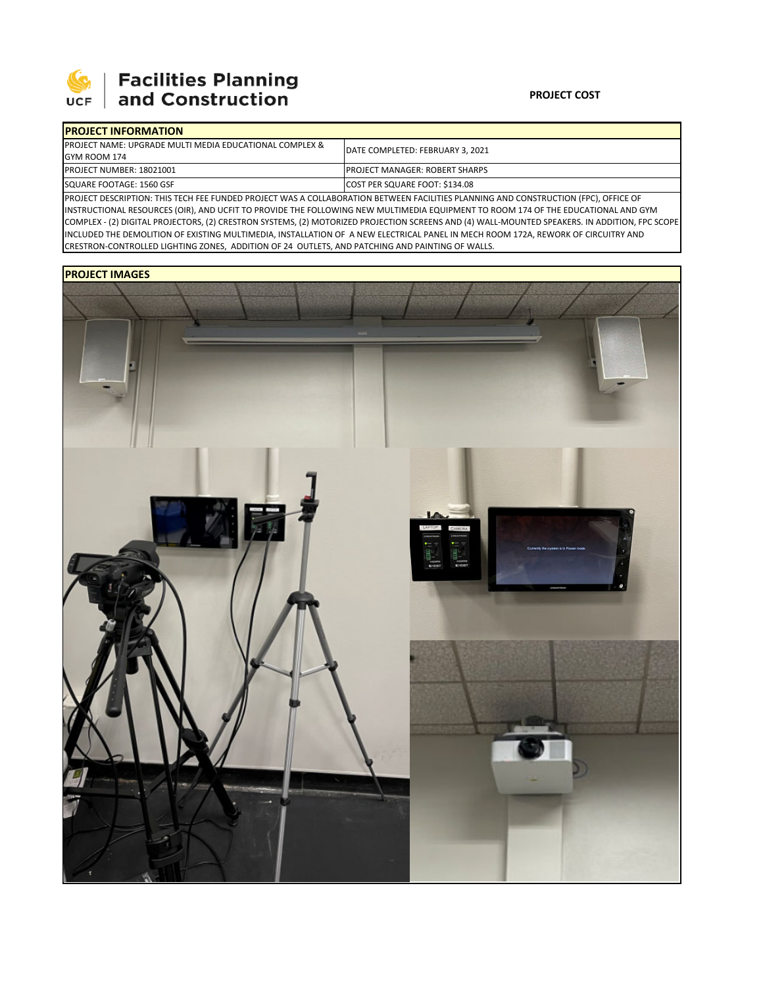

## | Facilities Planning<br>| and Construction

| <b>IPROJECT INFORMATION</b>                                         |                                        |
|---------------------------------------------------------------------|----------------------------------------|
| <b>IPROJECT NAME: UPGRADE MULTI MEDIA EDUCATIONAL COMPLEX &amp;</b> | DATE COMPLETED: FEBRUARY 3. 2021       |
| GYM ROOM 174                                                        |                                        |
| <b>IPROJECT NUMBER: 18021001</b>                                    | <b>IPROJECT MANAGER: ROBERT SHARPS</b> |
| SQUARE FOOTAGE: 1560 GSF                                            | COST PER SQUARE FOOT: \$134.08         |
|                                                                     |                                        |

PROJECT DESCRIPTION: THIS TECH FEE FUNDED PROJECT WAS A COLLABORATION BETWEEN FACILITIES PLANNING AND CONSTRUCTION (FPC), OFFICE OF INSTRUCTIONAL RESOURCES (OIR), AND UCFIT TO PROVIDE THE FOLLOWING NEW MULTIMEDIA EQUIPMENT TO ROOM 174 OF THE EDUCATIONAL AND GYM COMPLEX ‐ (2) DIGITAL PROJECTORS, (2) CRESTRON SYSTEMS, (2) MOTORIZED PROJECTION SCREENS AND (4) WALL‐MOUNTED SPEAKERS. IN ADDITION, FPC SCOPE INCLUDED THE DEMOLITION OF EXISTING MULTIMEDIA, INSTALLATION OF A NEW ELECTRICAL PANEL IN MECH ROOM 172A, REWORK OF CIRCUITRY AND CRESTRON‐CONTROLLED LIGHTING ZONES, ADDITION OF 24 OUTLETS, AND PATCHING AND PAINTING OF WALLS.